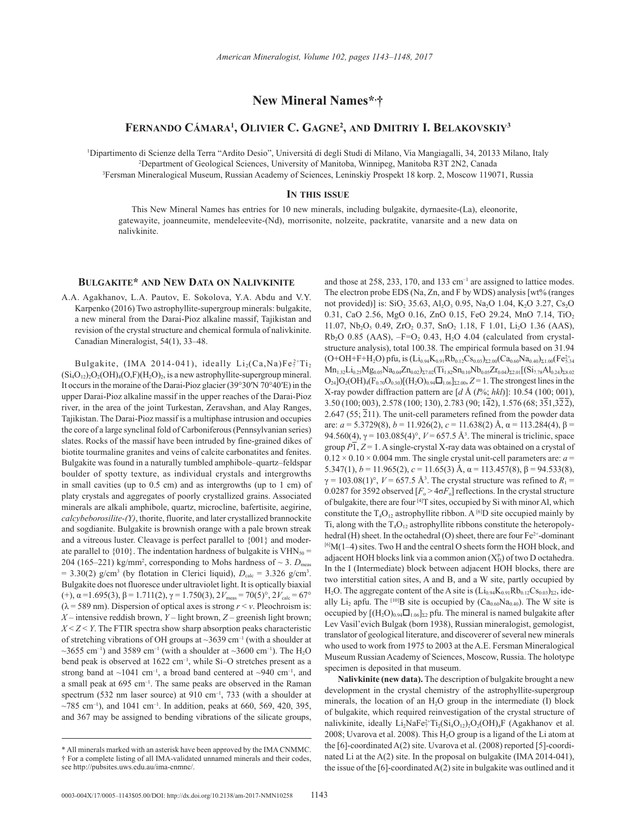# **New Mineral Names\*, †**

## **Fernando Cámara1 , Olivier C. Gagne2 , and Dmitriy I. Belakovskiy3**

1 Dipartimento di Scienze della Terra "Ardito Desio", Universitá di degli Studi di Milano, Via Mangiagalli, 34, 20133 Milano, Italy 2 <sup>2</sup>Department of Geological Sciences, University of Manitoba, Winnipeg, Manitoba R3T 2N2, Canada Fersman Mineralogical Museum, Russian Academy of Sciences, Leninskiy Prospekt 18 korp. 2, Moscow 119071, Russia

#### **In this issue**

This New Mineral Names has entries for 10 new minerals, including bulgakite, dyrnaesite-(La), eleonorite, gatewayite, joanneumite, mendeleevite-(Nd), morrisonite, nolzeite, packratite, vanarsite and a new data on nalivkinite.

### **Bulgakite\* and New Data on Nalivkinite**

A.A. Agakhanov, L.A. Pautov, E. Sokolova, Y.A. Abdu and V.Y. Karpenko (2016) Two astrophyllite-supergroup minerals: bulgakite, a new mineral from the Darai-Pioz alkaline massif, Tajikistan and revision of the crystal structure and chemical formula of nalivkinite. Canadian Mineralogist, 54(1), 33–48.

Bulgakite, (IMA 2014-041), ideally  $Li_2(Ca,Na)Fe_7^2Ti_2$  $(Si_4O_{12})_2O_2(OH)_4(O,F)(H_2O)_2$ , is a new astrophyllite-supergroup mineral. It occurs in the moraine of the Darai-Pioz glacier (39°30′N 70°40′E) in the upper Darai-Pioz alkaline massif in the upper reaches of the Darai-Pioz river, in the area of the joint Turkestan, Zeravshan, and Alay Ranges, Tajikistan. The Darai-Pioz massif is a multiphase intrusion and occupies the core of a large synclinal fold of Carboniferous (Pennsylvanian series) slates. Rocks of the massif have been intruded by fine-grained dikes of biotite tourmaline granites and veins of calcite carbonatites and fenites. Bulgakite was found in a naturally tumbled amphibole–quartz–feldspar boulder of spotty texture, as individual crystals and intergrowths in small cavities (up to 0.5 cm) and as intergrowths (up to 1 cm) of platy crystals and aggregates of poorly crystallized grains. Associated minerals are alkali amphibole, quartz, microcline, bafertisite, aegirine, *calcybeborosilite-(Y)*, thorite, fluorite, and later crystallized brannockite and sogdianite. Bulgakite is brownish orange with a pale brown streak and a vitreous luster. Cleavage is perfect parallel to {001} and moderate parallel to  ${010}$ . The indentation hardness of bulgakite is VHN<sub>50</sub> = 204 (165–221) kg/mm<sup>2</sup>, corresponding to Mohs hardness of  $\sim$  3.  $D_{\text{meas}}$  $= 3.30(2)$  g/cm<sup>3</sup> (by flotation in Clerici liquid),  $D_{\text{calc}} = 3.326$  g/cm<sup>3</sup>. Bulgakite does not fluoresce under ultraviolet light. It is optically biaxial (+),  $\alpha$  = 1.695(3),  $\beta$  = 1.711(2),  $\gamma$  = 1.750(3),  $2V_{\text{meas}}$  = 70(5)°,  $2V_{\text{calc}}$  = 67°  $(\lambda = 589 \text{ nm})$ . Dispersion of optical axes is strong  $r \le v$ . Pleochroism is: *X* – intensive reddish brown, *Y* – light brown, *Z* – greenish light brown;  $X < Z < Y$ . The FTIR spectra show sharp absorption peaks characteristic of stretching vibrations of OH groups at  $\sim$ 3639 cm<sup>-1</sup> (with a shoulder at  $\sim$ 3655 cm<sup>-1</sup>) and 3589 cm<sup>-1</sup> (with a shoulder at  $\sim$ 3600 cm<sup>-1</sup>). The H<sub>2</sub>O bend peak is observed at 1622 cm<sup>-1</sup>, while Si-O stretches present as a strong band at  $\sim$ 1041 cm<sup>-1</sup>, a broad band centered at  $\sim$ 940 cm<sup>-1</sup>, and a small peak at 695 cm–1. The same peaks are observed in the Raman spectrum (532 nm laser source) at 910 cm<sup>-1</sup>, 733 (with a shoulder at  $\sim$ 785 cm<sup>-1</sup>), and 1041 cm<sup>-1</sup>. In addition, peaks at 660, 569, 420, 395, and 367 may be assigned to bending vibrations of the silicate groups,

and those at 258, 233, 170, and 133 cm–1 are assigned to lattice modes. The electron probe EDS (Na, Zn, and F by WDS) analysis [wt% (ranges not provided)] is:  $SiO_2$  35.63, Al<sub>2</sub>O<sub>3</sub> 0.95, Na<sub>2</sub>O 1.04, K<sub>2</sub>O 3.27, Cs<sub>2</sub>O 0.31, CaO 2.56, MgO 0.16, ZnO 0.15, FeO 29.24, MnO 7.14, TiO2 11.07, Nb<sub>2</sub>O<sub>5</sub> 0.49, ZrO<sub>2</sub> 0.37, SnO<sub>2</sub> 1.18, F 1.01, Li<sub>2</sub>O 1.36 (AAS),  $Rb<sub>2</sub>O$  0.85 (AAS),  $-F=O<sub>2</sub>$  0.43, H<sub>2</sub>O 4.04 (calculated from crystalstructure analysis), total 100.38. The empirical formula based on 31.94  $\left(\text{O+OH+F+H}_{2}\text{O}\right)$  pfu, is  $\left(\text{Li}_{0.94}\text{K}_{0.91}\text{Rb}_{0.12}\text{Cs}_{0.03}\right)_{\Sigma2.00}\left(\text{Ca}_{0.60}\text{Na}_{0.40}\right)_{\Sigma1.00}\left(\text{Fe}_{5.34}^{2+}\right)$  $Mn_{1,32}Li_{0,25}Mg_{0,05}Na_{0,04}Zn_{0,02})_{\Sigma 7.02}(Ti_{1,82}Sn_{0,10}Nb_{0,05}Zr_{0,04})_{\Sigma 2.01}[(Si_{7,78}Al_{0,24})_{\Sigma 8.02}]$  $O_{24}$ ] $O_2(OH)_4$ (F<sub>0.70</sub> $O_{0.30}$ )[(H<sub>2</sub>O)<sub>0.94</sub> $\square$ <sub>1.06</sub>]<sub> $\Sigma$ 2.00</sub>, *Z* = 1. The strongest lines in the X-ray powder diffraction pattern are [*d* Å (*I*%; *hkl*)]: 10.54 (100; 001), 3.50 (100; 003), 2.578 (100; 130), 2.783 (90; 142), 1.576 (68; 351,322), 2.647 (55;  $\overline{2}11$ ). The unit-cell parameters refined from the powder data are: *a* = 5.3729(8), *b* = 11.926(2), *c* = 11.638(2) Å, α = 113.284(4), β = 94.560(4), γ = 103.085(4)°, *V* = 657.5 Å3 . The mineral is triclinic, space group  $\overline{P1}$ ,  $\overline{Z}$  = 1. A single-crystal X-ray data was obtained on a crystal of  $0.12 \times 0.10 \times 0.004$  mm. The single crystal unit-cell parameters are:  $a =$ 5.347(1), *b* = 11.965(2), *c* = 11.65(3) Å, α = 113.457(8), β = 94.533(8),  $\gamma = 103.08(1)^\circ$ ,  $V = 657.5$  Å<sup>3</sup>. The crystal structure was refined to  $R_1 =$ 0.0287 for 3592 observed  $[F_0 > 4\sigma F_0]$  reflections. In the crystal structure of bulgakite, there are four [4]T sites, occupied by Si with minor Al, which constitute the  $T_4O_{12}$  astrophyllite ribbon. A <sup>[6]</sup>D site occupied mainly by Ti, along with the  $T_4O_{12}$  astrophyllite ribbons constitute the heteropolyhedral (H) sheet. In the octahedral (O) sheet, there are four Fe<sup>2+</sup>-dominant <sup>[6]</sup>M(1–4) sites. Two H and the central O sheets form the HOH block, and adjacent HOH blocks link via a common anion  $(X_D^p)$  of two D octahedra. In the I (Intermediate) block between adjacent HOH blocks, there are two interstitial cation sites, A and B, and a W site, partly occupied by H<sub>2</sub>O. The aggregate content of the A site is  $(Li_{0.94}K_{0.91}Rb_{0.12}Cs_{0.03})_{\Sigma2}$ , ideally Li<sub>2</sub> apfu. The <sup>[10]</sup>B site is occupied by  $(Ca_{0.60}Na_{0.40})$ . The W site is occupied by  $[(H_2O)_{0.94}\Box_{1.06}]_{\Sigma}$  pfu. The mineral is named bulgakite after Lev Vasil'evich Bulgak (born 1938), Russian mineralogist, gemologist, translator of geological literature, and discoverer of several new minerals who used to work from 1975 to 2003 at the A.E. Fersman Mineralogical Museum Russian Academy of Sciences, Moscow, Russia. The holotype specimen is deposited in that museum.

**Nalivkinite (new data).** The description of bulgakite brought a new development in the crystal chemistry of the astrophyllite-supergroup minerals, the location of an  $H<sub>2</sub>O$  group in the intermediate (I) block of bulgakite, which required reinvestigation of the crystal structure of nalivkinite, ideally  $Li_2NaFe_7^{2+}Ti_2(Si_4O_{12})_2O_2(OH)_4F$  (Agakhanov et al. 2008; Uvarova et al. 2008). This H<sub>2</sub>O group is a ligand of the Li atom at the [6]-coordinated A(2) site. Uvarova et al. (2008) reported [5]-coordinated Li at the A(2) site. In the proposal on bulgakite (IMA 2014-041), the issue of the [6]-coordinated A(2) site in bulgakite was outlined and it

<sup>\*</sup> All minerals marked with an asterisk have been approved by the IMA CNMMC. † For a complete listing of all IMA-validated unnamed minerals and their codes, see http://pubsites.uws.edu.au/ima-cnmnc/.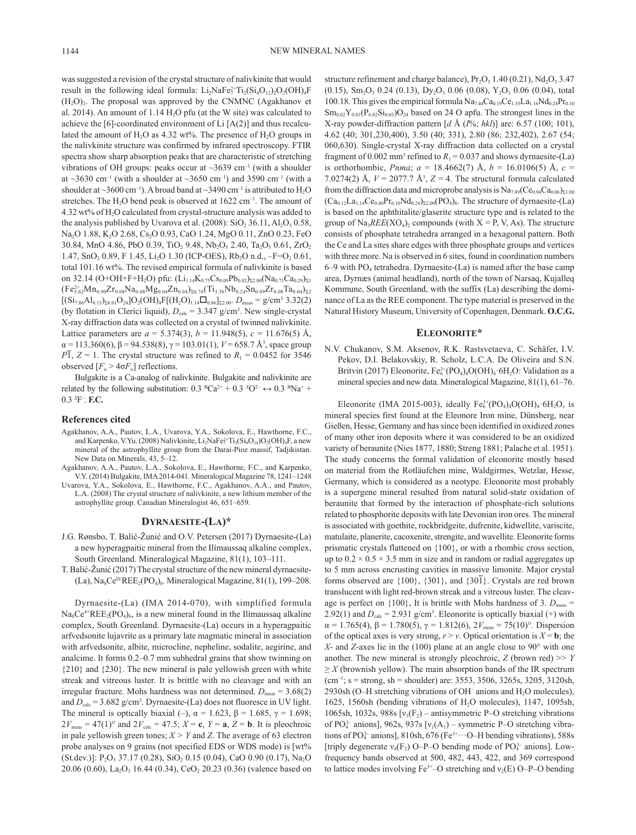was suggested a revision of the crystal structure of nalivkinite that would result in the following ideal formula:  $Li_2NaFe_7^{2+}Ti_2(Si_4O_{12})_2O_2(OH)_4F$  $(H_2O)_2$ . The proposal was approved by the CNMNC (Agakhanov et al. 2014). An amount of  $1.14 H<sub>2</sub>O$  pfu (at the W site) was calculated to achieve the [6]-coordinated environment of Li [A(2)] and thus recalculated the amount of  $H_2O$  as 4.32 wt%. The presence of  $H_2O$  groups in the nalivkinite structure was confirmed by infrared spectroscopy. FTIR spectra show sharp absorption peaks that are characteristic of stretching vibrations of OH groups: peaks occur at  $\sim$ 3639 cm<sup>-1</sup> (with a shoulder at  $\sim$ 3630 cm<sup>-1</sup> (with a shoulder at  $\sim$ 3650 cm<sup>-1</sup>) and 3590 cm<sup>-1</sup> (with a shoulder at  $\sim$ 3600 cm<sup>-1</sup>). A broad band at  $\sim$ 3490 cm<sup>-1</sup> is attributed to H<sub>2</sub>O stretches. The  $H_2O$  bend peak is observed at  $1622 \text{ cm}^{-1}$ . The amount of 4.32 wt% of H2O calculated from crystal-structure analysis was added to the analysis published by Uvarova et al.  $(2008)$ : SiO<sub>2</sub> 36.11, Al<sub>2</sub>O<sub>3</sub> 0.58, Na<sub>2</sub>O 1.88, K<sub>2</sub>O 2.68, Cs<sub>2</sub>O 0.93, CaO 1.24, MgO 0.11, ZnO 0.23, FeO 30.84, MnO 4.86, PbO 0.39, TiO<sub>2</sub> 9.48, Nb<sub>2</sub>O<sub>5</sub> 2.40, Ta<sub>2</sub>O<sub>5</sub> 0.61, ZrO<sub>2</sub> 1.47, SnO<sub>2</sub> 0.89, F 1.45, Li<sub>2</sub>O 1.30 (ICP-OES), Rb<sub>2</sub>O n.d.,  $-F=O_2$  0.61, total 101.16 wt%. The revised empirical formula of nalivkinite is based on 32.14 (O+OH+F+H<sub>2</sub>O) pfu: (Li<sub>1.14</sub>K<sub>0.75</sub>Cs<sub>0.09</sub>Pb<sub>0.02</sub>)<sub>Σ2.00</sub>(Na<sub>0.71</sub>Ca<sub>0.29</sub>)<sub>Σ1</sub>  $(Fe_{5.62}^{2+}Mn_{0.90}Zr_{0.08}Na_{0.08}Mg_{0.04}Zn_{0.04})_{\Sigma 6.76}(Ti_{1.56}Nb_{0.24}Sn_{0.09}Zr_{0.08}Ta_{0.04})_{\Sigma 2}$  $[(Si<sub>7.86</sub>Al<sub>0.15</sub>)<sub>28.01</sub>O<sub>24</sub>]O<sub>2</sub>(OH)<sub>4</sub>F[(H<sub>2</sub>O)<sub>1.14</sub>□<sub>0.86</sub>]<sub>22.00</sub>. D<sub>meas</sub> = g/cm<sup>3</sup> 3.32(2)$ (by flotation in Clerici liquid),  $D_{\text{calc}} = 3.347 \text{ g/cm}^3$ . New single-crystal X-ray diffraction data was collected on a crystal of twinned nalivkinite. Lattice parameters are  $a = 5.374(3)$ ,  $b = 11.948(5)$ ,  $c = 11.676(5)$  Å,  $\alpha$  = 113.360(6),  $\beta$  = 94.538(8),  $\gamma$  = 103.01(1), *V* = 658.7 Å<sup>3</sup>, space group *P*1,  $Z = 1$ . The crystal structure was refined to  $R_1 = 0.0452$  for 3546 observed  $[F_0 > 4\sigma F_0]$  reflections.

Bulgakite is a Ca-analog of nalivkinite. Bulgakite and nalivkinite are related by the following substitution:  $0.3 \text{ }^B\text{Ca}^{2+} + 0.3 \text{ }^X\text{O}^{2-} \leftrightarrow 0.3 \text{ }^B\text{Na}^+ +$ 0.3 *<sup>X</sup>*F– . **F.C.**

#### **References cited**

- Agakhanov, A.A., Pautov, L.A., Uvarova, Y.A., Sokolova, E., Hawthorne, F.C., and Karpenko, V.Yu. (2008) Nalivkinite,  $Li_2NaFe_7^2Ti_2(Si_8O_{24})O_2(OH)_4F$ , a new mineral of the astrophyllite group from the Darai-Pioz massif, Tadjikistan. New Data on Minerals, 43, 5–12.
- Agakhanov, A.A., Pautov, L.A., Sokolova, E., Hawthorne, F.C., and Karpenko, V.Y. (2014) Bulgakite, IMA 2014-041. Mineralogical Magazine 78, 1241–1248
- Uvarova, Y.A., Sokolova, E., Hawthorne, F.C., Agakhanov, A.A., and Pautov, L.A. (2008) The crystal structure of nalivkinite, a new lithium member of the astrophyllite group. Canadian Mineralogist 46, 651–659.

## **Dyrnaesite-(La)\***

- J.G. Rønsbo, T. Balić-Žunić and O.V. Petersen (2017) Dyrnaesite-(La) a new hyperagpaitic mineral from the Ilímaussaq alkaline complex, South Greenland. Mineralogical Magazine, 81(1), 103–111.
- T. Balić-Žunić (2017) The crystal structure of the new mineral dyrnaesite- (La),  $\text{Na}_8\text{Ce}^{\text{IV}}\text{REE}_2(\text{PO}_4)_6$ . Mineralogical Magazine, 81(1), 199–208.

Dyrnaesite-(La) (IMA 2014-070), with simplified formula  $Na_8Ce^{4+}REE_2(PO_4)_6$ , is a new mineral found in the Ilímaussaq alkaline complex, South Greenland. Dyrnaesite-(La) occurs in a hyperagpaitic arfvedsonite lujavrite as a primary late magmatic mineral in association with arfvedsonite, albite, microcline, nepheline, sodalite, aegirine, and analcime. It forms 0.2–0.7 mm subhedral grains that show twinning on {210} and {230}. The new mineral is pale yellowish green with white streak and vitreous luster. It is brittle with no cleavage and with an irregular fracture. Mohs hardness was not determined.  $D_{\text{meas}} = 3.68(2)$ and  $D_{\text{calc}} = 3.682 \text{ g/cm}^3$ . Dyrnaesite-(La) does not fluoresce in UV light. The mineral is optically biaxial (–),  $\alpha = 1.623$ ,  $\beta = 1.685$ ,  $\gamma = 1.698$ ;  $2V_{\text{meas}} = 47(1)$ ° and  $2V_{\text{calc}} = 47.5$ ;  $X = \mathbf{c}$ ,  $Y = \mathbf{a}$ ,  $Z = \mathbf{b}$ . It is pleochroic in pale yellowish green tones;  $X > Y$  and *Z*. The average of 63 electron probe analyses on 9 grains (not specified EDS or WDS mode) is [wt% (St.dev.)]:  $P_2O_5$  37.17 (0.28), SiO<sub>2</sub> 0.15 (0.04), CaO 0.90 (0.17), Na<sub>2</sub>O 20.06 (0.60), La<sub>2</sub>O<sub>3</sub> 16.44 (0.34), CeO<sub>2</sub> 20.23 (0.36) (valence based on

structure refinement and charge balance),  $Pr_2O_3$  1.40 (0.21),  $Nd_2O_3$  3.47  $(0.15)$ , Sm<sub>2</sub>O<sub>3</sub> 0.24 (0.13), Dy<sub>2</sub>O<sub>3</sub> 0.06 (0.08), Y<sub>2</sub>O<sub>3</sub> 0.06 (0.04), total 100.18. This gives the empirical formula  $Na<sub>7.44</sub>Ca<sub>0.19</sub>Ce<sub>1.35</sub>La<sub>1.16</sub>Nd<sub>0.24</sub>Pr<sub>0.10</sub>$  $\rm Sm_{0.02}Y_{0.01}(P_{6.02}Si_{0.03})O_{24}$  based on 24 O apfu. The strongest lines in the X-ray powder-diffraction pattern [*d* Å (*I*%; *hkl*)] are: 6.57 (100; 101), 4.62 (40; 301,230,400), 3.50 (40; 331), 2.80 (86; 232,402), 2.67 (54; 060,630). Single-crystal X-ray diffraction data collected on a crystal fragment of 0.002 mm<sup>3</sup> refined to  $R_1 = 0.037$  and shows dyrnaesite-(La) is orthorhombic, *Pnma*;  $a = 18.4662(7)$  Å,  $b = 16.0106(5)$  Å,  $c =$ 7.0274(2) Å,  $V = 2077.7$  Å<sup>3</sup>,  $Z = 4$ . The structural formula calculated from the diffraction data and microprobe analysis is  $Na<sub>7.89</sub>(Ce<sub>0.94</sub>Ca<sub>0.06</sub>)<sub>Σ1.00</sub>$  $(Ca_{0.12}La_{1.14}Ce_{0.40}Pr_{0.10}Nd_{0.24})_{\Sigma2.00}(PO_4)_6$ . The structure of dyrnaesite-(La) is based on the aphthitalite/glaserite structure type and is related to the group of  $Na<sub>3</sub>REE(XO<sub>4</sub>)<sub>2</sub>$  compounds (with  $X = P$ , V, As). The structure consists of phosphate tetrahedra arranged in a hexagonal pattern. Both the Ce and La sites share edges with three phosphate groups and vertices with three more. Na is observed in 6 sites, found in coordination numbers  $6-9$  with PO<sub>4</sub> tetrahedra. Dyrnaesite-(La) is named after the base camp area, Dyrnæs (animal headland), north of the town of Narsaq, Kujalleq Kommune, South Greenland, with the suffix (La) describing the dominance of La as the REE component. The type material is preserved in the Natural History Museum, University of Copenhagen, Denmark. **O.C.G.** 

#### **Eleonorite\***

N.V. Chukanov, S.M. Aksenov, R.K. Rastsvetaeva, C. Schäfer, I.V. Pekov, D.I. Belakovskiy, R. Scholz, L.C.A. De Oliveira and S.N. Britvin (2017) Eleonorite,  $Fe<sub>6</sub><sup>3+</sup>(PO<sub>4</sub>)<sub>4</sub>O(OH)<sub>4</sub>·6H<sub>2</sub>O$ : Validation as a mineral species and new data. Mineralogical Magazine, 81(1), 61–76.

Eleonorite (IMA 2015-003), ideally  $Fe<sub>6</sub><sup>3+</sup>(PO<sub>4</sub>)<sub>4</sub>O(OH)<sub>4</sub>·6H<sub>2</sub>O$ , is mineral species first found at the Eleonore Iron mine, Dünsberg, near Gießen, Hesse, Germany and has since been identified in oxidized zones of many other iron deposits where it was considered to be an oxidized variety of beraunite (Nies 1877, 1880; Streng 1881; Palache et al. 1951). The study concerns the formal validation of eleonorite mostly based on material from the Rotläufchen mine, Waldgirmes, Wetzlar, Hesse, Germany, which is considered as a neotype. Eleonorite most probably is a supergene mineral resulted from natural solid-state oxidation of beraunite that formed by the interaction of phosphate-rich solutions related to phosphorite deposits with late Devonian iron ores. The mineral is associated with goethite, rockbridgeite, dufrenite, kidwellite, variscite, matulaite, planerite, cacoxenite, strengite, and wavellite. Eleonorite forms prismatic crystals flattened on {100}, or with a rhombic cross section, up to  $0.2 \times 0.5 \times 3.5$  mm in size and in random or radial aggregates up to 5 mm across encrusting cavities in massive limonite. Major crystal forms observed are {100}, {301}, and {301}. Crystals are red brown translucent with light red-brown streak and a vitreous luster. The cleavage is perfect on  $\{100\}$ , It is brittle with Mohs hardness of 3.  $D_{\text{meas}} =$ 2.92(1) and  $D_{\text{calc}} = 2.931$  g/cm<sup>3</sup>. Eleonorite is optically biaxial (+) with  $\alpha = 1.765(4)$ ,  $\beta = 1.780(5)$ ,  $\gamma = 1.812(6)$ ,  $2V_{\text{meas}} = 75(10)$ °. Dispersion of the optical axes is very strong,  $r > v$ . Optical orientation is  $X = b$ ; the *X*- and *Z*-axes lie in the (100) plane at an angle close to 90° with one another. The new mineral is strongly pleochroic,  $Z$  (brown red)  $\gg Y$  $\geq$  *X* (brownish yellow). The main absorption bands of the IR spectrum  $(cm^{-1})$ ; s = strong, sh = shoulder) are: 3553, 3506, 3265s, 3205, 3120sh, 2930sh (O-H stretching vibrations of OH<sup>-</sup> anions and  $H_2O$  molecules), 1625, 1560sh (bending vibrations of H2O molecules), 1147, 1095sh, 1065sh, 1032s, 988s  $[v_3(F_2)$  – antisymmetric P–O stretching vibrations of PO<sub>4</sub><sup>2</sup>- anions], 962s, 937s [ $v_1(A_1)$  – symmetric P–O stretching vibrations of PO $_4^3$ -anions], 810sh, 676 (Fe $3+\cdots$ O-H bending vibrations), 588s [triply degenerate  $v_4$ (F<sub>2</sub>) O–P–O bending mode of PO<sub>4</sub><sup>2</sup> anions]. Lowfrequency bands observed at 500, 482, 443, 422, and 369 correspond to lattice modes involving  $Fe^{3+}$ –O stretching and  $v_2(E)$  O–P–O bending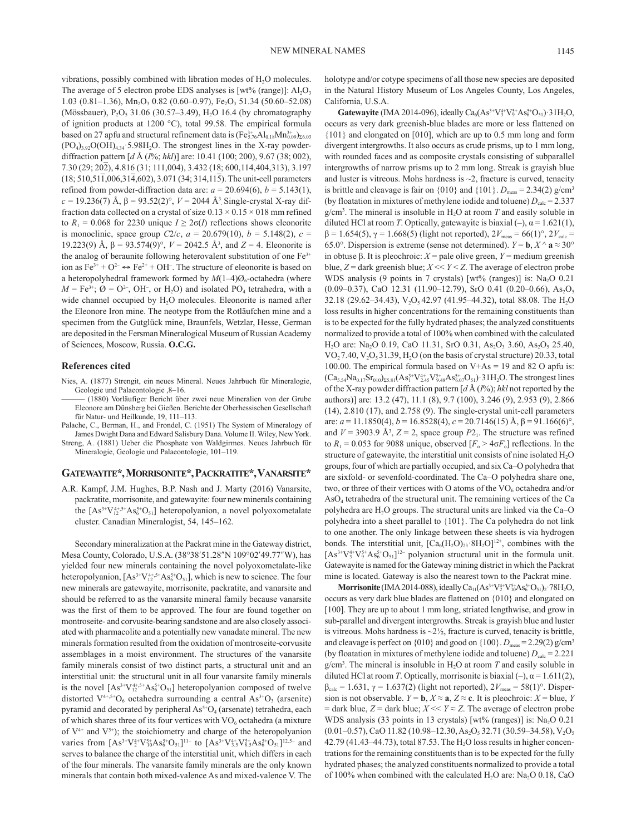vibrations, possibly combined with libration modes of  $H_2O$  molecules. The average of 5 electron probe EDS analyses is [wt% (range)]:  $Al_2O_3$ 1.03 (0.81-1.36), Mn<sub>2</sub>O<sub>3</sub> 0.82 (0.60-0.97), Fe<sub>2</sub>O<sub>3</sub> 51.34 (50.60-52.08) (Mössbauer),  $P_2O_5$  31.06 (30.57–3.49), H<sub>2</sub>O 16.4 (by chromatography of ignition products at 1200 °C), total 99.58. The empirical formula based on 27 apfu and structural refinement data is  $(\text{Fe}_{5.76}^{3+}\text{Al}_{0.18}\text{Mn}_{0.09}^{3+})_{\Sigma 6.03}$  $(PO<sub>4</sub>)<sub>3.92</sub>O(OH)<sub>4.34</sub>$  5.98H<sub>2</sub>O. The strongest lines in the X-ray powderdiffraction pattern [*d* Å (*I*%; *hkl*)] are: 10.41 (100; 200), 9.67 (38; 002), 7.30 (29; 202), 4.816 (31; 111,004), 3.432 (18; 600,114,404,313), 3.197  $(18; 510, 51\overline{1}, 006, 31\overline{4}, 602)$ , 3.071 (34; 314,115). The unit-cell parameters refined from powder-diffraction data are:  $a = 20.694(6)$ ,  $b = 5.143(1)$ , *c* = 19.236(7) Å,  $β = 93.52(2)°$ ,  $V = 2044$  Å<sup>3</sup> Single-crystal X-ray diffraction data collected on a crystal of size  $0.13 \times 0.15 \times 018$  mm refined to  $R_1 = 0.068$  for 2230 unique  $I \geq 2\sigma(I)$  reflections shows eleonorite is monoclinic, space group *C*2/*c*,  $a = 20.679(10)$ ,  $b = 5.148(2)$ ,  $c =$ 19.223(9) Å,  $β = 93.574(9)°$ ,  $V = 2042.5$  Å<sup>3</sup>, and  $Z = 4$ . Eleonorite is the analog of beraunite following heterovalent substitution of one Fe<sup>3+</sup> ion as  $Fe^{3+} + O^{2-} \rightarrow Fe^{2+} + OH^-$ . The structure of eleonorite is based on a heteropolyhedral framework formed by  $M(1-4)O_6$ -octahedra (where  $M = \text{Fe}^{3+}$ ;  $\varnothing = \text{O}^{2-}$ , OH<sup>-</sup>, or H<sub>2</sub>O) and isolated PO<sub>4</sub> tetrahedra, with a wide channel occupied by H<sub>2</sub>O molecules. Eleonorite is named after the Eleonore Iron mine. The neotype from the Rotläufchen mine and a specimen from the Gutglück mine, Braunfels, Wetzlar, Hesse, German are deposited in the Fersman Mineralogical Museum of Russian Academy of Sciences, Moscow, Russia. **O.C.G.**

#### **References cited**

- Nies, A. (1877) Strengit, ein neues Mineral. Neues Jahrbuch für Mineralogie, Geologie und Palaeontologie ,8–16.
	- ——— (1880) Vorläufiger Bericht über zwei neue Mineralien von der Grube Eleonore am Dünsberg bei Gießen. Berichte der Oberhessischen Gesellschaft für Natur- und Heilkunde, 19, 111–113.
- Palache, C., Berman, H., and Frondel, C. (1951) The System of Mineralogy of James Dwight Dana and Edward Salisbury Dana. Volume II. Wiley, New York.
- Streng, A. (1881) Ueber die Phosphate von Waldgirmes. Neues Jahrbuch für Mineralogie, Geologie und Palaeontologie, 101–119.

### **Gatewayite\*, Morrisonite\*, Packratite\*, Vanarsite\***

A.R. Kampf, J.M. Hughes, B.P. Nash and J. Marty (2016) Vanarsite, packratite, morrisonite, and gatewayite: four new minerals containing the  $[As^{3+}V_{12}^{4+,5+}As_6^{5+}O_{51}]$  heteropolyanion, a novel polyoxometalate cluster. Canadian Mineralogist, 54, 145–162.

Secondary mineralization at the Packrat mine in the Gateway district, Mesa County, Colorado, U.S.A. (38°38'51.28"N 109°02'49.77"W), has yielded four new minerals containing the novel polyoxometalate-like heteropolyanion,  $[As^{3+}V_{12}^{4+,5+}As_6^{5+}O_{51}]$ , which is new to science. The four new minerals are gatewayite, morrisonite, packratite, and vanarsite and should be referred to as the vanarsite mineral family because vanarsite was the first of them to be approved. The four are found together on montroseite- and corvusite-bearing sandstone and are also closely associated with pharmacolite and a potentially new vanadate mineral. The new minerals formation resulted from the oxidation of montroseite-corvusite assemblages in a moist environment. The structures of the vanarsite family minerals consist of two distinct parts, a structural unit and an interstitial unit: the structural unit in all four vanarsite family minerals is the novel  $[As^{3+}V_{12}^{4+,5+}As_6^{5+}O_{51}]$  heteropolyanion composed of twelve distorted  $V^{4+,5+}O_6$  octahedra surrounding a central As<sup>3+</sup>O<sub>3</sub> (arsenite) pyramid and decorated by peripheral  $As<sup>5+</sup>O<sub>4</sub>$  (arsenate) tetrahedra, each of which shares three of its four vertices with  $VO<sub>6</sub>$  octahedra (a mixture of  $V^{4+}$  and  $V^{5+}$ ); the stoichiometry and charge of the heteropolyanion varies from  $[As^{3+}V_2^{4+}V_{10}^{5+}As_6^{5+}O_{51}]^{11-}$  to  $[As^{3+}V_{3.5}^{4+}V_{8.5}^{5+}As_6^{5+}O_{51}]^{12.5-}$  and serves to balance the charge of the interstitial unit, which differs in each of the four minerals. The vanarsite family minerals are the only known minerals that contain both mixed-valence As and mixed-valence V. The

holotype and/or cotype specimens of all those new species are deposited in the Natural History Museum of Los Angeles County, Los Angeles, California, U.S.A.

**Gatewayite** (IMA 2014-096), ideally  $Ca_6(As^{3+}V_3^{4+}V_9^{5+}As_6^{5+}O_{51})$  31H<sub>2</sub>O, occurs as very dark greenish-blue blades are more or less flattened on {101} and elongated on [010], which are up to 0.5 mm long and form divergent intergrowths. It also occurs as crude prisms, up to 1 mm long, with rounded faces and as composite crystals consisting of subparallel intergrowths of narrow prisms up to 2 mm long. Streak is grayish blue and luster is vitreous. Mohs hardness is  $\sim$ 2, fracture is curved, tenacity is brittle and cleavage is fair on  $\{010\}$  and  $\{101\}$ .  $D_{\text{meas}} = 2.34(2)$  g/cm<sup>3</sup> (by floatation in mixtures of methylene iodide and toluene)  $D_{\text{calc}} = 2.337$  $g/cm<sup>3</sup>$ . The mineral is insoluble in  $H<sub>2</sub>O$  at room *T* and easily soluble in diluted HCl at room *T*. Optically, gatewayite is biaxial  $(-)$ ,  $\alpha = 1.621(1)$ ,  $β = 1.654(5)$ ,  $γ = 1.668(5)$  (light not reported),  $2V_{\text{meas}} = 66(1)°$ ,  $2V_{\text{calc}} =$ 65.0°. Dispersion is extreme (sense not determined).  $Y = \mathbf{b}, X^{\wedge} \mathbf{a} \approx 30^{\circ}$ in obtuse β. It is pleochroic: *X* = pale olive green, *Y* = medium greenish blue,  $Z =$  dark greenish blue;  $X \ll Y \ll Z$ . The average of electron probe WDS analysis (9 points in 7 crystals)  $[wt\%$  (ranges)] is: Na<sub>2</sub>O 0.21  $(0.09-0.37)$ , CaO 12.31 (11.90-12.79), SrO 0.41 (0.20-0.66), As<sub>2</sub>O<sub>5</sub> 32.18 (29.62–34.43),  $V_2O_5$  42.97 (41.95–44.32), total 88.08. The H<sub>2</sub>O loss results in higher concentrations for the remaining constituents than is to be expected for the fully hydrated phases; the analyzed constituents normalized to provide a total of 100% when combined with the calculated H<sub>2</sub>O are: Na<sub>2</sub>O 0.19, CaO 11.31, SrO 0.31, As<sub>2</sub>O<sub>3</sub> 3.60, As<sub>2</sub>O<sub>5</sub> 25.40,  $VO<sub>2</sub>7.40, V<sub>2</sub>O<sub>5</sub>31.39, H<sub>2</sub>O$  (on the basis of crystal structure) 20.33, total 100.00. The empirical formula based on V+As = 19 and 82 O apfu is:  $(Ca_{5.54}Na_{0.17}Sr_{010})_{\Sigma5.81}(As_1^{3+}V_{2.45}^{4+}V_{9.48}^{5+}As_{6.07}^{5+}O_{51})$  31H<sub>2</sub>O. The strongest lines of the X-ray powder diffraction pattern [*d* Å (*I*%); *hkl* not reported by the authors)] are: 13.2 (47), 11.1 (8), 9.7 (100), 3.246 (9), 2.953 (9), 2.866 (14), 2.810 (17), and 2.758 (9). The single-crystal unit-cell parameters are: *a* = 11.1850(4), *b* = 16.8528(4), *c* = 20.7146(15) Å, β = 91.166(6)°, and  $V = 3903.9 \text{ Å}^3$ ,  $Z = 2$ , space group  $P2<sub>1</sub>$ . The structure was refined to  $R_1 = 0.053$  for 9088 unique, observed  $[F_0 > 4\sigma F_0]$  reflections. In the structure of gatewayite, the interstitial unit consists of nine isolated  $H_2O$ groups, four of which are partially occupied, and six Ca–O polyhedra that are sixfold- or sevenfold-coordinated. The Ca–O polyhedra share one, two, or three of their vertices with O atoms of the  $VO<sub>6</sub>$  octahedra and/or AsO4 tetrahedra of the structural unit. The remaining vertices of the Ca polyhedra are  $H_2O$  groups. The structural units are linked via the Ca–O polyhedra into a sheet parallel to {101}. The Ca polyhedra do not link to one another. The only linkage between these sheets is via hydrogen bonds. The interstitial unit,  $[Ca_6(H_2O)_{23} \cdot 8H_2O]^{12+}$ , combines with the  $[As^{3+}V_3^{4+}V_9^{5+}As_6^{5+}O_{51}]^{12-}$  polyanion structural unit in the formula unit. Gatewayite is named for the Gateway mining district in which the Packrat mine is located. Gateway is also the nearest town to the Packrat mine.

**Morrisonite** (IMA 2014-088), ideally  $Ca_{11}(As^{3+}V_2^{4+}V_{10}^{5+}As_6^{5+}O_{51})_2$  78H<sub>2</sub>O, occurs as very dark blue blades are flattened on {010} and elongated on [100]. They are up to about 1 mm long, striated lengthwise, and grow in sub-parallel and divergent intergrowths. Streak is grayish blue and luster is vitreous. Mohs hardness is  $\sim$ 2 $\frac{1}{2}$ , fracture is curved, tenacity is brittle, and cleavage is perfect on  $\{010\}$  and good on  $\{100\}$ .  $D_{\text{meas}} = 2.29(2)$  g/cm<sup>3</sup> (by floatation in mixtures of methylene iodide and toluene)  $D_{\text{calc}} = 2.221$  $g/cm<sup>3</sup>$ . The mineral is insoluble in  $H<sub>2</sub>O$  at room *T* and easily soluble in diluted HCl at room *T*. Optically, morrisonite is biaxial  $(-)$ ,  $\alpha = 1.611(2)$ ,  $β<sub>calc</sub> = 1.631, γ = 1.637(2)$  (light not reported),  $2V<sub>meas</sub> = 58(1)°$ . Dispersion is not observable.  $Y = \mathbf{b}$ ,  $X \approx \mathbf{a}$ ,  $Z \approx \mathbf{c}$ . It is pleochroic:  $X = \text{blue}, Y$  $=$  dark blue,  $Z =$  dark blue;  $X \ll Y \approx Z$ . The average of electron probe WDS analysis (33 points in 13 crystals) [wt% (ranges)] is:  $Na<sub>2</sub>O$  0.21  $(0.01-0.57)$ , CaO 11.82 (10.98-12.30, As<sub>2</sub>O<sub>5</sub> 32.71 (30.59-34.58), V<sub>2</sub>O<sub>5</sub>  $42.79$  (41.43–44.73), total 87.53. The H<sub>2</sub>O loss results in higher concentrations for the remaining constituents than is to be expected for the fully hydrated phases; the analyzed constituents normalized to provide a total of 100% when combined with the calculated  $H_2O$  are: Na<sub>2</sub>O 0.18, CaO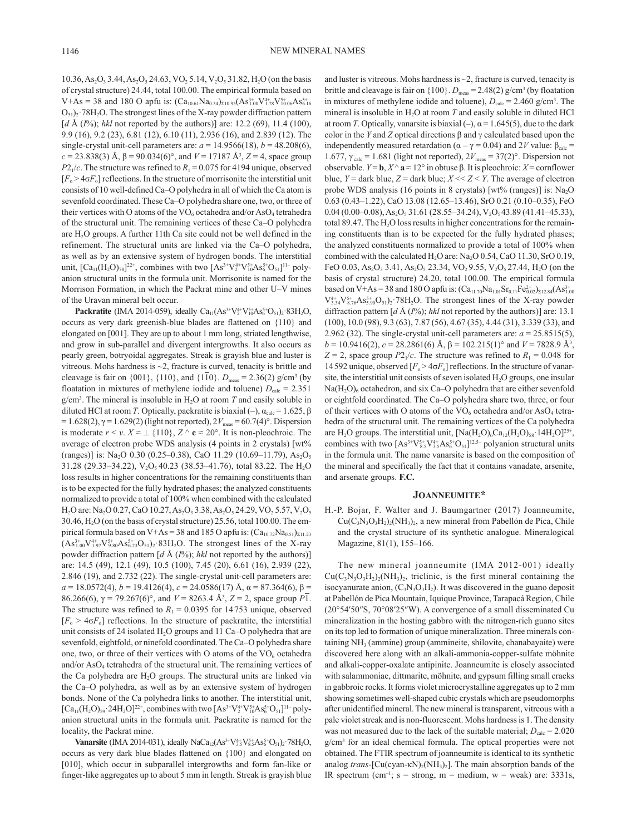$10.36$ , As<sub>2</sub>O<sub>3</sub> 3.44, As<sub>2</sub>O<sub>5</sub> 24.63, VO<sub>2</sub> 5.14, V<sub>2</sub>O<sub>5</sub> 31.82, H<sub>2</sub>O (on the basis of crystal structure) 24.44, total 100.00. The empirical formula based on  $V+As = 38$  and 180 O apfu is:  $(Ca_{10.61}Na_{0.34})_{\Sigma10.95}(As_{1.00}^{3+}V_{1.78}^{4+}V_{10.06}^{5+}As_{6.16}^{5+})$  $O_{51}$ )<sub>2</sub>·78H<sub>2</sub>O. The strongest lines of the X-ray powder diffraction pattern [*d* Å (*I*%); *hkl* not reported by the authors)] are: 12.2 (69), 11.4 (100), 9.9 (16), 9.2 (23), 6.81 (12), 6.10 (11), 2.936 (16), and 2.839 (12). The single-crystal unit-cell parameters are:  $a = 14.9566(18)$ ,  $b = 48.208(6)$ ,  $c = 23.838(3)$  Å,  $β = 90.034(6)°$ , and  $V = 17187$  Å<sup>3</sup>,  $Z = 4$ , space group  $P2_1/c$ . The structure was refined to  $R_1 = 0.075$  for 4194 unique, observed  $[F_0 > 4\sigma F_0]$  reflections. In the structure of morrisonite the interstitial unit consists of 10 well-defined Ca–O polyhedra in all of which the Ca atom is sevenfold coordinated. These Ca–O polyhedra share one, two, or three of their vertices with O atoms of the  $VO_6$  octahedra and/or As $O_4$  tetrahedra of the structural unit. The remaining vertices of these Ca–O polyhedra are  $H<sub>2</sub>O$  groups. A further 11th Ca site could not be well defined in the refinement. The structural units are linked via the Ca–O polyhedra, as well as by an extensive system of hydrogen bonds. The interstitial unit,  $[Ca_{11}(H_2O)_{78}]^{22+}$ , combines with two  $[As^{3+}V_2^{4+}V_{10}^{5+}As_6^{5+}O_{51}]^{11-}$  polyanion structural units in the formula unit. Morrisonite is named for the Morrison Formation, in which the Packrat mine and other U–V mines of the Uravan mineral belt occur.

**Packratite** (IMA 2014-059), ideally  $Ca_{11}(As^{3+}V_2^{4+}V_{10}^{5+}As_6^{5+}O_{51})_2.83H_2O$ , occurs as very dark greenish-blue blades are flattened on {110} and elongated on [001]. They are up to about 1 mm long, striated lengthwise, and grow in sub-parallel and divergent intergrowths. It also occurs as pearly green, botryoidal aggregates. Streak is grayish blue and luster is vitreous. Mohs hardness is  $\sim$ 2, fracture is curved, tenacity is brittle and cleavage is fair on  $\{001\}$ ,  $\{110\}$ , and  $\{110\}$ .  $D_{\text{meas}} = 2.36(2)$  g/cm<sup>3</sup> (by floatation in mixtures of methylene iodide and toluene)  $D_{\text{calc}} = 2.351$  $g/cm<sup>3</sup>$ . The mineral is insoluble in  $H<sub>2</sub>O$  at room *T* and easily soluble in diluted HCl at room *T*. Optically, packratite is biaxial (–),  $\alpha_{\text{calc}} = 1.625$ , β  $= 1.628(2)$ ,  $γ = 1.629(2)$  (light not reported),  $2V_{\text{meas}} = 60.7(4)°$ . Dispersion is moderate  $r \le v$ .  $X \approx \perp \{110\}$ ,  $Z \wedge c \approx 20^{\circ}$ . It is non-pleochroic. The average of electron probe WDS analysis (4 points in 2 crystals) [wt% (ranges)] is: Na<sub>2</sub>O 0.30 (0.25–0.38), CaO 11.29 (10.69–11.79), As<sub>2</sub>O<sub>5</sub> 31.28 (29.33-34.22), V<sub>2</sub>O<sub>5</sub> 40.23 (38.53-41.76), total 83.22. The H<sub>2</sub>O loss results in higher concentrations for the remaining constituents than is to be expected for the fully hydrated phases; the analyzed constituents normalized to provide a total of 100% when combined with the calculated  $H<sub>2</sub>O$  are: Na<sub>2</sub>O 0.27, CaO 10.27, As<sub>2</sub>O<sub>3</sub> 3.38, As<sub>2</sub>O<sub>5</sub> 24.29, VO<sub>2</sub> 5.57, V<sub>2</sub>O<sub>5</sub> 30.46, H2O (on the basis of crystal structure) 25.56, total 100.00. The empirical formula based on V+As = 38 and 185 O apfu is:  $(Ca_{10.72}Na_{0.51})_{\Sigma11.23}$  $(As_{1.00}^{3+}V_{1.97}^{4+}V_{9.80}^{5+}As_{6.23}^{5+}O_{51})_2.83H_2O$ . The strongest lines of the X-ray powder diffraction pattern [*d* Å (*I*%); *hkl* not reported by the authors)] are: 14.5 (49), 12.1 (49), 10.5 (100), 7.45 (20), 6.61 (16), 2.939 (22), 2.846 (19), and 2.732 (22). The single-crystal unit-cell parameters are:  $a = 18.0572(4)$ ,  $b = 19.4126(4)$ ,  $c = 24.0586(17)$  Å,  $\alpha = 87.364(6)$ ,  $\beta =$ 86.266(6),  $\gamma = 79.267(6)$ °, and  $V = 8263.4$  Å<sup>3</sup>,  $Z = 2$ , space group P1. The structure was refined to  $R_1 = 0.0395$  for 14753 unique, observed  $[F_0 > 4\sigma F_0]$  reflections. In the structure of packratite, the interstitial unit consists of 24 isolated  $H_2O$  groups and 11 Ca–O polyhedra that are sevenfold, eightfold, or ninefold coordinated. The Ca–O polyhedra share one, two, or three of their vertices with O atoms of the  $VO<sub>6</sub>$  octahedra and/or AsO<sub>4</sub> tetrahedra of the structural unit. The remaining vertices of the Ca polyhedra are  $H<sub>2</sub>O$  groups. The structural units are linked via the Ca–O polyhedra, as well as by an extensive system of hydrogen bonds. None of the Ca polyhedra links to another. The interstitial unit,  $[Ca_{11}(H_2O)_{59} \cdot 24H_2O]^{22+}$ , combines with two  $[As^{3+}V_2^{4+}V_{10}^{5+}As_6^{5+}O_{51}]^{11-}$  polyanion structural units in the formula unit. Packratite is named for the locality, the Packrat mine.

**Vanarsite** (IMA 2014-031), ideally NaCa<sub>12</sub>( $\text{As}^{3+}\text{V}_{3.5}^{4+}\text{V}_{8.5}^{5+}\text{As}^{5+}\text{O}_{51}$ )<sub>2</sub>·78H<sub>2</sub>O, occurs as very dark blue blades flattened on {100} and elongated on [010], which occur in subparallel intergrowths and form fan-like or finger-like aggregates up to about 5 mm in length. Streak is grayish blue

and luster is vitreous. Mohs hardness is  $\sim$ 2, fracture is curved, tenacity is brittle and cleavage is fair on  $\{100\}$ .  $D_{\text{meas}} = 2.48(2)$  g/cm<sup>3</sup> (by floatation in mixtures of methylene iodide and toluene),  $D_{\text{calc}} = 2.460 \text{ g/cm}^3$ . The mineral is insoluble in  $H_2O$  at room  $T$  and easily soluble in diluted HCl at room *T*. Optically, vanarsite is biaxial  $(-)$ ,  $\alpha = 1.645(5)$ , due to the dark color in the *Y* and *Z* optical directions β and γ calculated based upon the independently measured retardation ( $\alpha - \gamma = 0.04$ ) and 2*V* value: β<sub>calc</sub> = 1.677,  $\gamma_{\text{calc}} = 1.681$  (light not reported),  $2V_{\text{meas}} = 37(2)^\circ$ . Dispersion not observable. *Y* = **b**, *X* ^ **a** ≈ 12° in obtuse β. It is pleochroic: *X* = cornflower blue,  $Y =$  dark blue,  $Z =$  dark blue;  $X \ll Z \ll Y$ . The average of electron probe WDS analysis (16 points in 8 crystals)  $[wt\%$  (ranges)] is: Na<sub>2</sub>O 0.63 (0.43–1.22), CaO 13.08 (12.65–13.46), SrO 0.21 (0.10–0.35), FeO  $0.04 (0.00-0.08), As<sub>2</sub>O<sub>5</sub>31.61 (28.55-34.24), V<sub>2</sub>O<sub>5</sub>43.89 (41.41-45.33),$ total 89.47. The  $H<sub>2</sub>O$  loss results in higher concentrations for the remaining constituents than is to be expected for the fully hydrated phases; the analyzed constituents normalized to provide a total of 100% when combined with the calculated  $H_2O$  are: Na<sub>2</sub>O 0.54, CaO 11.30, SrO 0.19, FeO 0.03, As<sub>2</sub>O<sub>3</sub> 3.41, As<sub>2</sub>O<sub>5</sub> 23.34, VO<sub>2</sub> 9.55, V<sub>2</sub>O<sub>5</sub> 27.44, H<sub>2</sub>O (on the basis of crystal structure) 24.20, total 100.00. The empirical formula based on V+As = 38 and 180 O apfu is:  $(Ca_{11.70}Na_{1.01}Sr_{0.11}Fe_{0.02}^{2+})_{\Sigma12.84}(As_{1.00}^{3+})$  $V_{3.34}^{4+}V_{8.76}^{5+}As_{5.90}^{5+}O_{51})_2.78H_2O$ . The strongest lines of the X-ray powder diffraction pattern [*d* Å (*I*%); *hkl* not reported by the authors)] are: 13.1 (100), 10.0 (98), 9.3 (63), 7.87 (56), 4.67 (35), 4.44 (31), 3.339 (33), and 2.962 (32). The single-crystal unit-cell parameters are:  $a = 25.8515(5)$ , *b* = 10.9416(2), *c* = 28.2861(6) Å,  $β = 102.215(1)°$  and  $V = 7828.9$  Å<sup>3</sup>,  $Z = 2$ , space group  $P2_1/c$ . The structure was refined to  $R_1 = 0.048$  for 14592 unique, observed  $[F_0 > 4\sigma F_0]$  reflections. In the structure of vanarsite, the interstitial unit consists of seven isolated  $H_2O$  groups, one insular  $Na(H<sub>2</sub>O)<sub>6</sub> octahedron, and six Ca-O polyhedra that are either sevenfold$ or eightfold coordinated. The Ca–O polyhedra share two, three, or four of their vertices with O atoms of the  $VO_6$  octahedra and/or As $O_4$  tetrahedra of the structural unit. The remaining vertices of the Ca polyhedra are H<sub>2</sub>O groups. The interstitial unit,  $[Na(H_2O)_6Ca_{12}(H_2O)_{58} \cdot 14H_2O]^{25+}$ , combines with two  $[As^{3+}V_{8.5}^{5+}V_{3.5}^{4+}As_6^{5+}O_{51}]^{12.5-}$  polyanion structural units in the formula unit. The name vanarsite is based on the composition of the mineral and specifically the fact that it contains vanadate, arsenite, and arsenate groups. **F.C.**

#### **Joanneumite\***

H.-P. Bojar, F. Walter and J. Baumgartner (2017) Joanneumite,  $Cu(C_3N_3O_3H_2)_2(NH_3)_2$ , a new mineral from Pabellón de Pica, Chile and the crystal structure of its synthetic analogue. Mineralogical Magazine, 81(1), 155–166.

The new mineral joanneumite (IMA 2012-001) ideally  $Cu(C_3N_3O_3H_2)_2(NH_3)_2$ , triclinic, is the first mineral containing the isocyanurate anion,  $(C_3N_3O_3H_2)$ . It was discovered in the guano deposit at Pabellón de Pica Mountain, Iquique Province, Tarapacá Region, Chile (20°54′50″S, 70°08′25″W). A convergence of a small disseminated Cu mineralization in the hosting gabbro with the nitrogen-rich guano sites on its top led to formation of unique mineralization. Three minerals containing NH3 (ammine) group (ammineite, shilovite, chanabayaite) were discovered here along with an alkali-ammonia-copper-sulfate möhnite and alkali-copper-oxalate antipinite. Joanneumite is closely associated with salammoniac, dittmarite, möhnite, and gypsum filling small cracks in gabbroic rocks. It forms violet microcrystalline aggregates up to 2 mm showing sometimes well-shaped cubic crystals which are pseudomorphs after unidentified mineral. The new mineral is transparent, vitreous with a pale violet streak and is non-fluorescent. Mohs hardness is 1. The density was not measured due to the lack of the suitable material;  $D_{\text{calc}} = 2.020$ g/cm3 for an ideal chemical formula. The optical properties were not obtained. The FTIR spectrum of joanneumite is identical to its synthetic analog *trans*-[Cu(cyan-κN)<sub>2</sub>(NH<sub>3</sub>)<sub>2</sub>]. The main absorption bands of the IR spectrum (cm<sup>-1</sup>; s = strong, m = medium, w = weak) are: 3331s,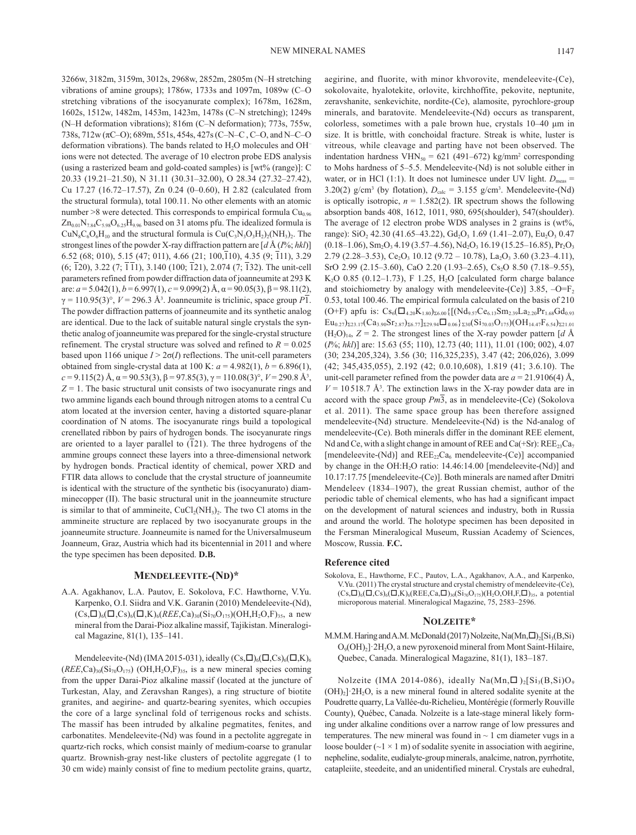3266w, 3182m, 3159m, 3012s, 2968w, 2852m, 2805m (N–H stretching vibrations of amine groups); 1786w, 1733s and 1097m, 1089w (C–O stretching vibrations of the isocyanurate complex); 1678m, 1628m, 1602s, 1512w, 1482m, 1453m, 1423m, 1478s (C–N stretching); 1249s (N–H deformation vibrations); 816m (C–N deformation); 773s, 755w, 738s, 712w (πC–O); 689m, 551s, 454s, 427s (C–N–C , C–O, and N–C–O deformation vibrations). The bands related to  $H_2O$  molecules and OH<sup>-</sup> ions were not detected. The average of 10 electron probe EDS analysis (using a rasterized beam and gold-coated samples) is [wt% (range)]: C 20.33 (19.21–21.50), N 31.11 (30.31–32.00), O 28.34 (27.32–27.42), Cu 17.27 (16.72–17.57), Zn 0.24 (0–0.60), H 2.82 (calculated from the structural formula), total 100.11. No other elements with an atomic number  $>8$  were detected. This corresponds to empirical formula  $Cu<sub>0.96</sub>$  $Zn_{0.01}N_{7.84}C_{5.98}O_{6.25}H_{9.96}$  based on 31 atoms pfu. The idealized formula is  $CuN_8C_6O_6H_{10}$  and the structural formula is  $Cu(C_3N_3O_3H_2)_2(NH_3)_2$ . The strongest lines of the powder X-ray diffraction pattern are [*d* Å (*I*%; *hkl*)] 6.52 (68; 010), 5.15 (47; 011), 4.66 (21; 100, $\overline{1}10$ ), 4.35 (9;  $\overline{1}11$ ), 3.29  $(6; \overline{1}20), 3.22 (7; \overline{1}11), 3.140 (100; \overline{1}21), 2.074 (7; \overline{1}32).$  The unit-cell parameters refined from powder diffraction data of joanneumite at 293 K are: *a* = 5.042(1), *b* = 6.997(1), *c* = 9.099(2) Å, α = 90.05(3), β = 98.11(2), γ = 110.95(3)°, *V* = 296.3 Å3 . Joanneumite is triclinic, space group *P*1. The powder diffraction patterns of joanneumite and its synthetic analog are identical. Due to the lack of suitable natural single crystals the synthetic analog of joanneumite was prepared for the single-crystal structure refinement. The crystal structure was solved and refined to  $R = 0.025$ based upon 1166 unique  $I > 2\sigma(I)$  reflections. The unit-cell parameters obtained from single-crystal data at 100 K:  $a = 4.982(1)$ ,  $b = 6.896(1)$ , *c* = 9.115(2) Å, α = 90.53(3), β = 97.85(3), γ = 110.08(3)°, *V* = 290.8 Å3 ,  $Z = 1$ . The basic structural unit consists of two isocyanurate rings and two ammine ligands each bound through nitrogen atoms to a central Cu atom located at the inversion center, having a distorted square-planar coordination of N atoms. The isocyanurate rings build a topological crenellated ribbon by pairs of hydrogen bonds. The isocyanurate rings are oriented to a layer parallel to  $(121)$ . The three hydrogens of the ammine groups connect these layers into a three-dimensional network by hydrogen bonds. Practical identity of chemical, power XRD and FTIR data allows to conclude that the crystal structure of joanneumite is identical with the structure of the synthetic bis (isocyanurato) diamminecopper (II). The basic structural unit in the joanneumite structure is similar to that of ammineite,  $CuCl<sub>2</sub>(NH<sub>3</sub>)<sub>2</sub>$ . The two Cl atoms in the ammineite structure are replaced by two isocyanurate groups in the joanneumite structure. Joanneumite is named for the Universalmuseum Joanneum, Graz, Austria which had its bicentennial in 2011 and where the type specimen has been deposited. **D.B.**

#### **Mendeleevite-(Nd)\***

A.A. Agakhanov, L.A. Pautov, E. Sokolova, F.C. Hawthorne, V.Yu. Karpenko, O.I. Siidra and V.K. Garanin (2010) Mendeleevite-(Nd),  $(Cs,\Box)_{6}(\Box,Cs)_{6}(\Box,K)_{6}(REE,Ca)_{30}(Si_{70}O_{175})(OH,H_{2}O,F)_{35}$ , a new mineral from the Darai-Pioz alkaline massif, Tajikistan. Mineralogical Magazine, 81(1), 135–141.

Mendeleevite-(Nd) (IMA 2015-031), ideally  $(Cs,\Box)_6(\Box,Cs)_6(\Box,K)_6$  $(REE, Ca)_{30}(Si_{70}O_{175})$  (OH, H<sub>2</sub>O, F)<sub>35</sub>, is a new mineral species coming from the upper Darai-Pioz alkaline massif (located at the juncture of Turkestan, Alay, and Zeravshan Ranges), a ring structure of biotite granites, and aegirine- and quartz-bearing syenites, which occupies the core of a large synclinal fold of terrigenous rocks and schists. The massif has been intruded by alkaline pegmatites, fenites, and carbonatites. Mendeleevite-(Nd) was found in a pectolite aggregate in quartz-rich rocks, which consist mainly of medium-coarse to granular quartz. Brownish-gray nest-like clusters of pectolite aggregate (1 to 30 cm wide) mainly consist of fine to medium pectolite grains, quartz,

aegirine, and fluorite, with minor khvorovite, mendeleevite-(Ce), sokolovaite, hyalotekite, orlovite, kirchhoffite, pekovite, neptunite, zeravshanite, senkevichite, nordite-(Ce), alamosite, pyrochlore-group minerals, and baratovite. Mendeleevite-(Nd) occurs as transparent, colorless, sometimes with a pale brown hue, crystals 10–40 μm in size. It is brittle, with conchoidal fracture. Streak is white, luster is vitreous, while cleavage and parting have not been observed. The indentation hardness  $VHN<sub>50</sub> = 621 (491–672) kg/mm<sup>2</sup> corresponding$ to Mohs hardness of 5–5.5. Mendeleevite-(Nd) is not soluble either in water, or in HCl (1:1). It does not luminesce under UV light.  $D_{\text{meas}} =$ 3.20(2)  $g/cm^3$  (by flotation),  $D_{calc} = 3.155$   $g/cm^3$ . Mendeleevite-(Nd) is optically isotropic,  $n = 1.582(2)$ . IR spectrum shows the following absorption bands 408, 1612, 1011, 980, 695(shoulder), 547(shoulder). The average of 12 electron probe WDS analyses in 2 grains is (wt%, range):  $SiO<sub>2</sub>$  42.30 (41.65–43.22),  $Gd<sub>2</sub>O<sub>3</sub>$  1.69 (1.41–2.07),  $Eu<sub>2</sub>O<sub>3</sub>$  0.47  $(0.18-1.06)$ , Sm<sub>2</sub>O<sub>3</sub> 4.19 (3.57–4.56), Nd<sub>2</sub>O<sub>3</sub> 16.19 (15.25–16.85), Pr<sub>2</sub>O<sub>3</sub> 2.79 (2.28–3.53), Ce<sub>2</sub>O<sub>3</sub> 10.12 (9.72 – 10.78), La<sub>2</sub>O<sub>3</sub> 3.60 (3.23–4.11), SrO 2.99 (2.15–3.60), CaO 2.20 (1.93–2.65), Cs<sub>2</sub>O 8.50 (7.18–9.55), K<sub>2</sub>O 0.85 (0.12–1.73), F 1.25, H<sub>2</sub>O [calculated form charge balance and stoichiometry by analogy with mendeleevite-(Ce)]  $3.85$ ,  $-O=F<sub>2</sub>$ 0.53, total 100.46. The empirical formula calculated on the basis of 210 (O+F) apfu is:  $Cs_6(\square_{4.20}K_{1.80})_{26.00}$ {[(Nd<sub>9.57</sub>Ce<sub>6.13</sub>Sm<sub>2.39</sub>La<sub>2.20</sub>Pr<sub>1.68</sub>Gd<sub>0.93</sub>  $\text{Eu}_{0.27}$ )  $\text{23.17}(Ca_{3.90}Sr_{2.87})$   $\text{25.77}$   $\text{229.94}$   $\Box$  0.06}  $\text{230}(Si_{70.03}O_{175})(OH_{14.47}F_{6.54})$   $\text{221.01}$  $(H_2O)_{14}$ ,  $Z = 2$ . The strongest lines of the X-ray powder pattern [*d* Å (*I*%; *hkl*)] are: 15.63 (55; 110), 12.73 (40; 111), 11.01 (100; 002), 4.07 (30; 234,205,324), 3.56 (30; 116,325,235), 3.47 (42; 206,026), 3.099 (42; 345,435,055), 2.192 (42; 0.0.10,608), 1.819 (41; 3.6.10). The unit-cell parameter refined from the powder data are  $a = 21.9106(4)$  Å,  $V = 10518.7$  Å<sup>3</sup>. The extinction laws in the X-ray powder data are in accord with the space group *Pm*3, as in mendeleevite-(Ce) (Sokolova et al. 2011). The same space group has been therefore assigned mendeleevite-(Nd) structure. Mendeleevite-(Nd) is the Nd-analog of mendeleevite-(Ce). Both minerals differ in the dominant REE element, Nd and Ce, with a slight change in amount of REE and Ca(+Sr):  $REE_{23}Ca<sub>7</sub>$ [mendeleevite-(Nd)] and  $REE_{22}Ca_6$  mendeleevite-(Ce)] accompanied by change in the OH:H2O ratio: 14.46:14.00 [mendeleevite-(Nd)] and 10.17:17.75 [mendeleevite-(Ce)]. Both minerals are named after Dmitri Mendeleev (1834–1907), the great Russian chemist, author of the periodic table of chemical elements, who has had a significant impact on the development of natural sciences and industry, both in Russia and around the world. The holotype specimen has been deposited in the Fersman Mineralogical Museum, Russian Academy of Sciences, Moscow, Russia. **F.C.**

## **Reference cited**

Sokolova, E., Hawthorne, F.C., Pautov, L.A., Agakhanov, A.A., and Karpenko, V.Yu. (2011) The crystal structure and crystal chemistry of mendeleevite-(Ce),  $(Cs,\Box)_{6}(\Box,Cs)_{6}(\Box,K)_{6}$ (REE,Ca, $\Box)_{30}$ (Si<sub>70</sub>O<sub>175</sub>)(H<sub>2</sub>O,OH,F, $\Box)_{35}$ , a potential microporous material. Mineralogical Magazine, 75, 2583–2596.

### **Nolzeite\***

M.M.M. Haring and A.M. McDonald (2017) Nolzeite, Na(Mn, $\Box$ )<sub>2</sub>[Si<sub>3</sub>(B,Si) O9(OH)2]·2H2O, a new pyroxenoid mineral from Mont Saint-Hilaire, Quebec, Canada. Mineralogical Magazine, 81(1), 183–187.

Nolzeite (IMA 2014-086), ideally Na(Mn, $\Box$ )<sub>2</sub>[Si<sub>3</sub>(B,Si)O<sub>9</sub>  $(OH)<sub>2</sub>$ ]  $2H<sub>2</sub>O$ , is a new mineral found in altered sodalite syenite at the Poudrette quarry, La Vallée-du-Richelieu, Montérégie (formerly Rouville County), Québec, Canada. Nolzeite is a late-stage mineral likely forming under alkaline conditions over a narrow range of low pressures and temperatures. The new mineral was found in  $\sim$  1 cm diameter vugs in a loose boulder ( $\sim$ 1 × 1 m) of sodalite syenite in association with aegirine, nepheline, sodalite, eudialyte-group minerals, analcime, natron, pyrrhotite, catapleiite, steedeite, and an unidentified mineral. Crystals are euhedral,